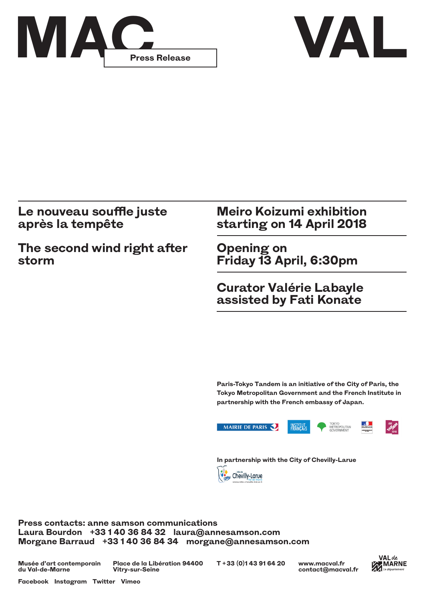



## **Le nouveau souffle juste après la tempête**

**The second wind right after storm**

## **Meiro Koizumi exhibition starting on 14 April 2018**

**Opening on Friday 13 April, 6:30pm**

**Curator Valérie Labayle assisted by Fati Konate**

**Paris-Tokyo Tandem is an initiative of the City of Paris, the Tokyo Metropolitan Government and the French Institute in partnership with the French embassy of Japan.**



**In partnership with the City of Chevilly-Larue**



**Press contacts: anne samson communications Laura Bourdon +33 1 40 36 84 32 laura@annesamson.com Morgane Barraud +33 1 40 36 84 34 morgane@annesamson.com**

**Musée d'art contemporain du Val-de-Marne**

**Place de la Libération 94400 T + 33 (0)1 43 91 64 20 Vitry-sur-Seine**

**www.macval.fr contact@macval.fr**